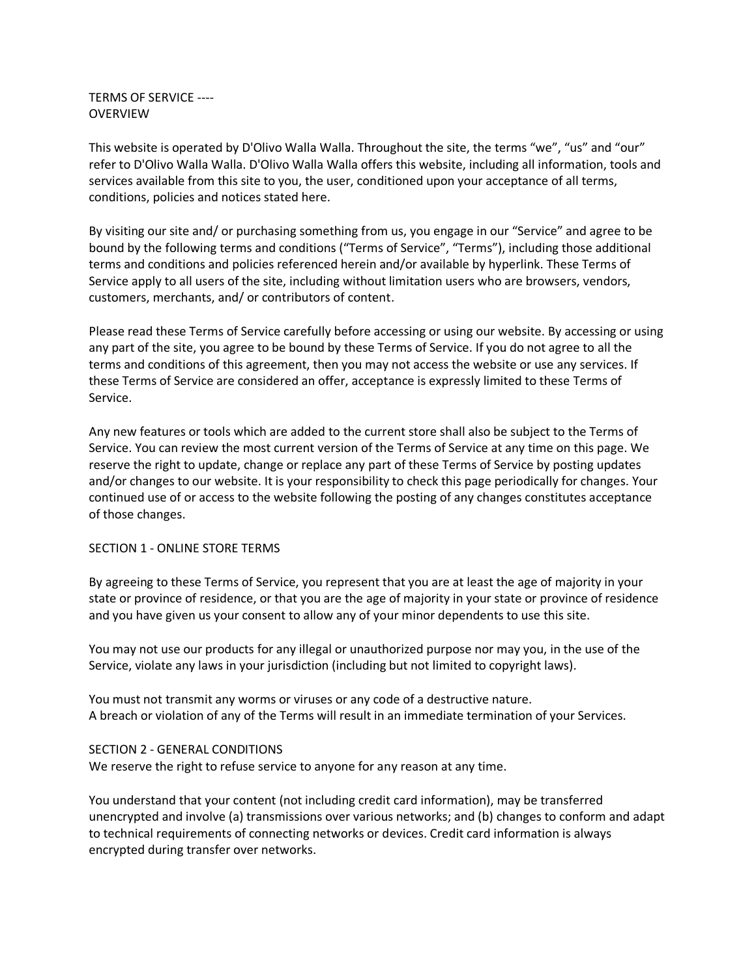TERMS OF SERVICE ---- OVERVIEW

This website is operated by D'Olivo Walla Walla. Throughout the site, the terms "we", "us" and "our" refer to D'Olivo Walla Walla. D'Olivo Walla Walla offers this website, including all information, tools and services available from this site to you, the user, conditioned upon your acceptance of all terms, conditions, policies and notices stated here.

By visiting our site and/ or purchasing something from us, you engage in our "Service" and agree to be bound by the following terms and conditions ("Terms of Service", "Terms"), including those additional terms and conditions and policies referenced herein and/or available by hyperlink. These Terms of Service apply to all users of the site, including without limitation users who are browsers, vendors, customers, merchants, and/ or contributors of content.

Please read these Terms of Service carefully before accessing or using our website. By accessing or using any part of the site, you agree to be bound by these Terms of Service. If you do not agree to all the terms and conditions of this agreement, then you may not access the website or use any services. If these Terms of Service are considered an offer, acceptance is expressly limited to these Terms of Service.

Any new features or tools which are added to the current store shall also be subject to the Terms of Service. You can review the most current version of the Terms of Service at any time on this page. We reserve the right to update, change or replace any part of these Terms of Service by posting updates and/or changes to our website. It is your responsibility to check this page periodically for changes. Your continued use of or access to the website following the posting of any changes constitutes acceptance of those changes.

### SECTION 1 - ONLINE STORE TERMS

By agreeing to these Terms of Service, you represent that you are at least the age of majority in your state or province of residence, or that you are the age of majority in your state or province of residence and you have given us your consent to allow any of your minor dependents to use this site.

You may not use our products for any illegal or unauthorized purpose nor may you, in the use of the Service, violate any laws in your jurisdiction (including but not limited to copyright laws).

You must not transmit any worms or viruses or any code of a destructive nature. A breach or violation of any of the Terms will result in an immediate termination of your Services.

#### SECTION 2 - GENERAL CONDITIONS

We reserve the right to refuse service to anyone for any reason at any time.

You understand that your content (not including credit card information), may be transferred unencrypted and involve (a) transmissions over various networks; and (b) changes to conform and adapt to technical requirements of connecting networks or devices. Credit card information is always encrypted during transfer over networks.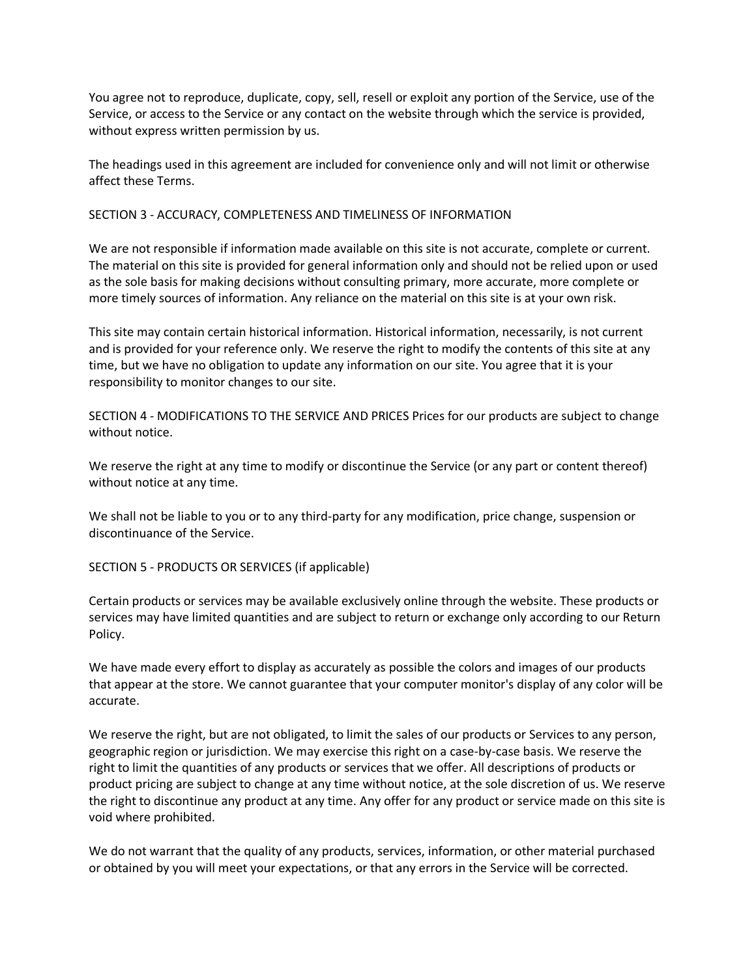You agree not to reproduce, duplicate, copy, sell, resell or exploit any portion of the Service, use of the Service, or access to the Service or any contact on the website through which the service is provided, without express written permission by us.

The headings used in this agreement are included for convenience only and will not limit or otherwise affect these Terms.

### SECTION 3 - ACCURACY, COMPLETENESS AND TIMELINESS OF INFORMATION

We are not responsible if information made available on this site is not accurate, complete or current. The material on this site is provided for general information only and should not be relied upon or used as the sole basis for making decisions without consulting primary, more accurate, more complete or more timely sources of information. Any reliance on the material on this site is at your own risk.

This site may contain certain historical information. Historical information, necessarily, is not current and is provided for your reference only. We reserve the right to modify the contents of this site at any time, but we have no obligation to update any information on our site. You agree that it is your responsibility to monitor changes to our site.

SECTION 4 - MODIFICATIONS TO THE SERVICE AND PRICES Prices for our products are subject to change without notice.

We reserve the right at any time to modify or discontinue the Service (or any part or content thereof) without notice at any time.

We shall not be liable to you or to any third-party for any modification, price change, suspension or discontinuance of the Service.

SECTION 5 - PRODUCTS OR SERVICES (if applicable)

Certain products or services may be available exclusively online through the website. These products or services may have limited quantities and are subject to return or exchange only according to our Return Policy.

We have made every effort to display as accurately as possible the colors and images of our products that appear at the store. We cannot guarantee that your computer monitor's display of any color will be accurate.

We reserve the right, but are not obligated, to limit the sales of our products or Services to any person, geographic region or jurisdiction. We may exercise this right on a case-by-case basis. We reserve the right to limit the quantities of any products or services that we offer. All descriptions of products or product pricing are subject to change at any time without notice, at the sole discretion of us. We reserve the right to discontinue any product at any time. Any offer for any product or service made on this site is void where prohibited.

We do not warrant that the quality of any products, services, information, or other material purchased or obtained by you will meet your expectations, or that any errors in the Service will be corrected.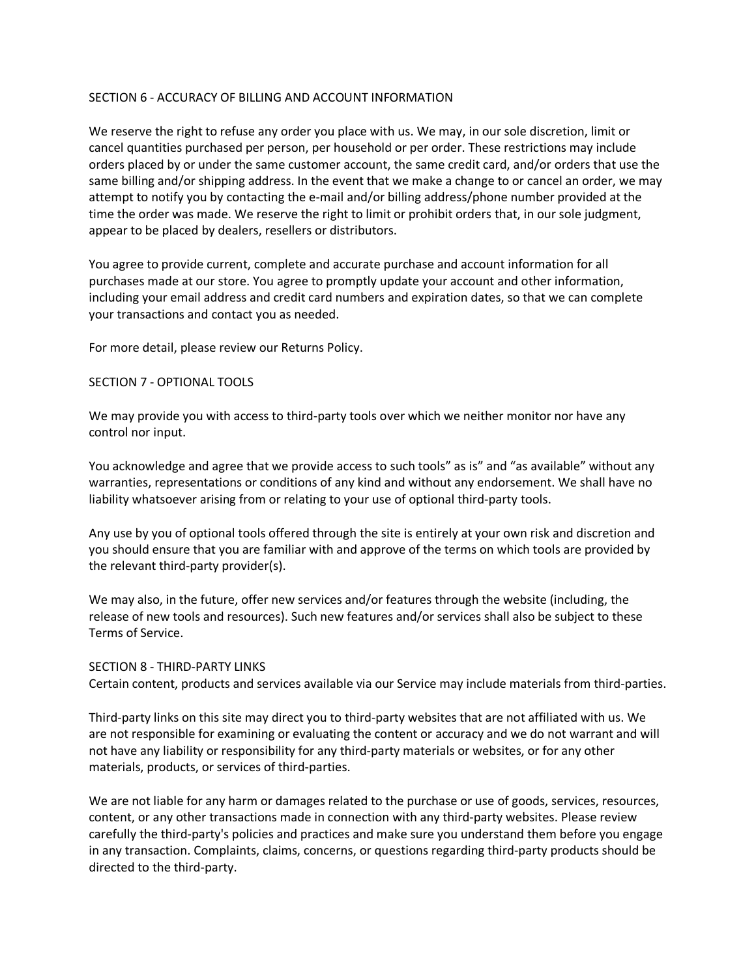# SECTION 6 - ACCURACY OF BILLING AND ACCOUNT INFORMATION

We reserve the right to refuse any order you place with us. We may, in our sole discretion, limit or cancel quantities purchased per person, per household or per order. These restrictions may include orders placed by or under the same customer account, the same credit card, and/or orders that use the same billing and/or shipping address. In the event that we make a change to or cancel an order, we may attempt to notify you by contacting the e-mail and/or billing address/phone number provided at the time the order was made. We reserve the right to limit or prohibit orders that, in our sole judgment, appear to be placed by dealers, resellers or distributors.

You agree to provide current, complete and accurate purchase and account information for all purchases made at our store. You agree to promptly update your account and other information, including your email address and credit card numbers and expiration dates, so that we can complete your transactions and contact you as needed.

For more detail, please review our Returns Policy.

#### SECTION 7 - OPTIONAL TOOLS

We may provide you with access to third-party tools over which we neither monitor nor have any control nor input.

You acknowledge and agree that we provide access to such tools" as is" and "as available" without any warranties, representations or conditions of any kind and without any endorsement. We shall have no liability whatsoever arising from or relating to your use of optional third-party tools.

Any use by you of optional tools offered through the site is entirely at your own risk and discretion and you should ensure that you are familiar with and approve of the terms on which tools are provided by the relevant third-party provider(s).

We may also, in the future, offer new services and/or features through the website (including, the release of new tools and resources). Such new features and/or services shall also be subject to these Terms of Service.

#### SECTION 8 - THIRD-PARTY LINKS

Certain content, products and services available via our Service may include materials from third-parties.

Third-party links on this site may direct you to third-party websites that are not affiliated with us. We are not responsible for examining or evaluating the content or accuracy and we do not warrant and will not have any liability or responsibility for any third-party materials or websites, or for any other materials, products, or services of third-parties.

We are not liable for any harm or damages related to the purchase or use of goods, services, resources, content, or any other transactions made in connection with any third-party websites. Please review carefully the third-party's policies and practices and make sure you understand them before you engage in any transaction. Complaints, claims, concerns, or questions regarding third-party products should be directed to the third-party.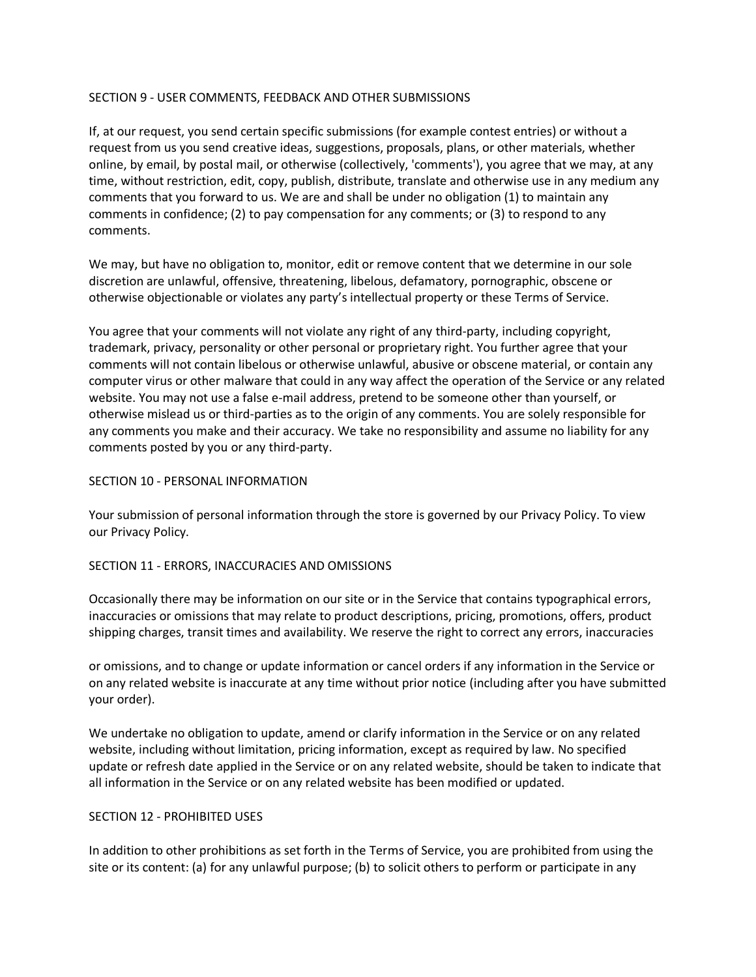# SECTION 9 - USER COMMENTS, FEEDBACK AND OTHER SUBMISSIONS

If, at our request, you send certain specific submissions (for example contest entries) or without a request from us you send creative ideas, suggestions, proposals, plans, or other materials, whether online, by email, by postal mail, or otherwise (collectively, 'comments'), you agree that we may, at any time, without restriction, edit, copy, publish, distribute, translate and otherwise use in any medium any comments that you forward to us. We are and shall be under no obligation (1) to maintain any comments in confidence; (2) to pay compensation for any comments; or (3) to respond to any comments.

We may, but have no obligation to, monitor, edit or remove content that we determine in our sole discretion are unlawful, offensive, threatening, libelous, defamatory, pornographic, obscene or otherwise objectionable or violates any party's intellectual property or these Terms of Service.

You agree that your comments will not violate any right of any third-party, including copyright, trademark, privacy, personality or other personal or proprietary right. You further agree that your comments will not contain libelous or otherwise unlawful, abusive or obscene material, or contain any computer virus or other malware that could in any way affect the operation of the Service or any related website. You may not use a false e-mail address, pretend to be someone other than yourself, or otherwise mislead us or third-parties as to the origin of any comments. You are solely responsible for any comments you make and their accuracy. We take no responsibility and assume no liability for any comments posted by you or any third-party.

# SECTION 10 - PERSONAL INFORMATION

Your submission of personal information through the store is governed by our Privacy Policy. To view our Privacy Policy.

# SECTION 11 - ERRORS, INACCURACIES AND OMISSIONS

Occasionally there may be information on our site or in the Service that contains typographical errors, inaccuracies or omissions that may relate to product descriptions, pricing, promotions, offers, product shipping charges, transit times and availability. We reserve the right to correct any errors, inaccuracies

or omissions, and to change or update information or cancel orders if any information in the Service or on any related website is inaccurate at any time without prior notice (including after you have submitted your order).

We undertake no obligation to update, amend or clarify information in the Service or on any related website, including without limitation, pricing information, except as required by law. No specified update or refresh date applied in the Service or on any related website, should be taken to indicate that all information in the Service or on any related website has been modified or updated.

# SECTION 12 - PROHIBITED USES

In addition to other prohibitions as set forth in the Terms of Service, you are prohibited from using the site or its content: (a) for any unlawful purpose; (b) to solicit others to perform or participate in any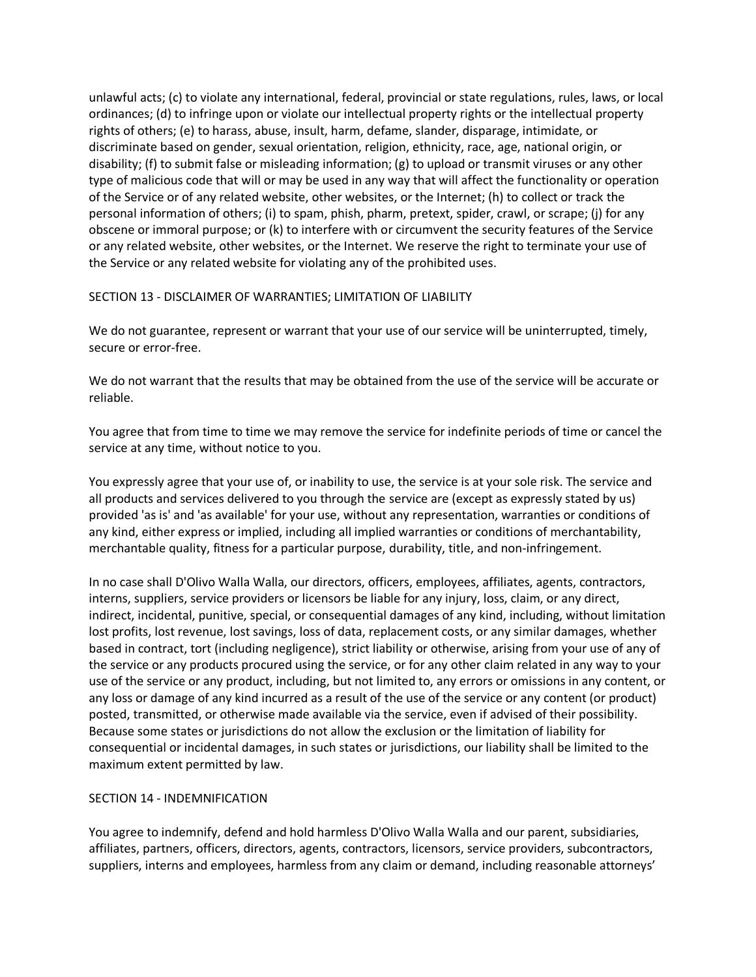unlawful acts; (c) to violate any international, federal, provincial or state regulations, rules, laws, or local ordinances; (d) to infringe upon or violate our intellectual property rights or the intellectual property rights of others; (e) to harass, abuse, insult, harm, defame, slander, disparage, intimidate, or discriminate based on gender, sexual orientation, religion, ethnicity, race, age, national origin, or disability; (f) to submit false or misleading information; (g) to upload or transmit viruses or any other type of malicious code that will or may be used in any way that will affect the functionality or operation of the Service or of any related website, other websites, or the Internet; (h) to collect or track the personal information of others; (i) to spam, phish, pharm, pretext, spider, crawl, or scrape; (j) for any obscene or immoral purpose; or (k) to interfere with or circumvent the security features of the Service or any related website, other websites, or the Internet. We reserve the right to terminate your use of the Service or any related website for violating any of the prohibited uses.

# SECTION 13 - DISCLAIMER OF WARRANTIES; LIMITATION OF LIABILITY

We do not guarantee, represent or warrant that your use of our service will be uninterrupted, timely, secure or error-free.

We do not warrant that the results that may be obtained from the use of the service will be accurate or reliable.

You agree that from time to time we may remove the service for indefinite periods of time or cancel the service at any time, without notice to you.

You expressly agree that your use of, or inability to use, the service is at your sole risk. The service and all products and services delivered to you through the service are (except as expressly stated by us) provided 'as is' and 'as available' for your use, without any representation, warranties or conditions of any kind, either express or implied, including all implied warranties or conditions of merchantability, merchantable quality, fitness for a particular purpose, durability, title, and non-infringement.

In no case shall D'Olivo Walla Walla, our directors, officers, employees, affiliates, agents, contractors, interns, suppliers, service providers or licensors be liable for any injury, loss, claim, or any direct, indirect, incidental, punitive, special, or consequential damages of any kind, including, without limitation lost profits, lost revenue, lost savings, loss of data, replacement costs, or any similar damages, whether based in contract, tort (including negligence), strict liability or otherwise, arising from your use of any of the service or any products procured using the service, or for any other claim related in any way to your use of the service or any product, including, but not limited to, any errors or omissions in any content, or any loss or damage of any kind incurred as a result of the use of the service or any content (or product) posted, transmitted, or otherwise made available via the service, even if advised of their possibility. Because some states or jurisdictions do not allow the exclusion or the limitation of liability for consequential or incidental damages, in such states or jurisdictions, our liability shall be limited to the maximum extent permitted by law.

# SECTION 14 - INDEMNIFICATION

You agree to indemnify, defend and hold harmless D'Olivo Walla Walla and our parent, subsidiaries, affiliates, partners, officers, directors, agents, contractors, licensors, service providers, subcontractors, suppliers, interns and employees, harmless from any claim or demand, including reasonable attorneys'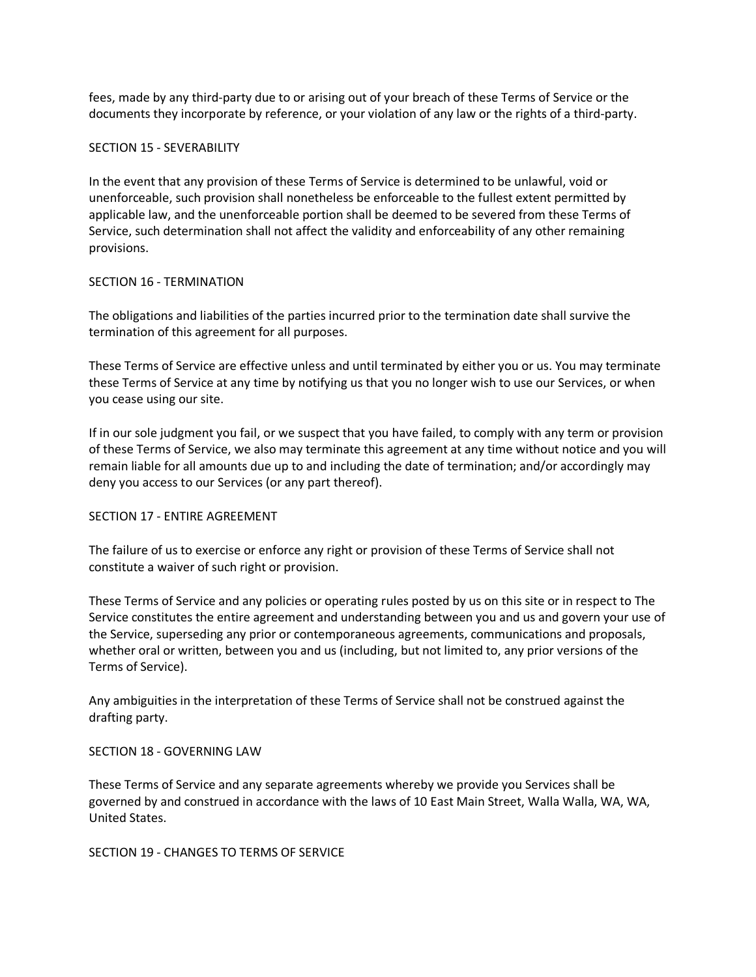fees, made by any third-party due to or arising out of your breach of these Terms of Service or the documents they incorporate by reference, or your violation of any law or the rights of a third-party.

#### SECTION 15 - SEVERABILITY

In the event that any provision of these Terms of Service is determined to be unlawful, void or unenforceable, such provision shall nonetheless be enforceable to the fullest extent permitted by applicable law, and the unenforceable portion shall be deemed to be severed from these Terms of Service, such determination shall not affect the validity and enforceability of any other remaining provisions.

#### SECTION 16 - TERMINATION

The obligations and liabilities of the parties incurred prior to the termination date shall survive the termination of this agreement for all purposes.

These Terms of Service are effective unless and until terminated by either you or us. You may terminate these Terms of Service at any time by notifying us that you no longer wish to use our Services, or when you cease using our site.

If in our sole judgment you fail, or we suspect that you have failed, to comply with any term or provision of these Terms of Service, we also may terminate this agreement at any time without notice and you will remain liable for all amounts due up to and including the date of termination; and/or accordingly may deny you access to our Services (or any part thereof).

# SECTION 17 - ENTIRE AGREEMENT

The failure of us to exercise or enforce any right or provision of these Terms of Service shall not constitute a waiver of such right or provision.

These Terms of Service and any policies or operating rules posted by us on this site or in respect to The Service constitutes the entire agreement and understanding between you and us and govern your use of the Service, superseding any prior or contemporaneous agreements, communications and proposals, whether oral or written, between you and us (including, but not limited to, any prior versions of the Terms of Service).

Any ambiguities in the interpretation of these Terms of Service shall not be construed against the drafting party.

#### SECTION 18 - GOVERNING LAW

These Terms of Service and any separate agreements whereby we provide you Services shall be governed by and construed in accordance with the laws of 10 East Main Street, Walla Walla, WA, WA, United States.

SECTION 19 - CHANGES TO TERMS OF SERVICE